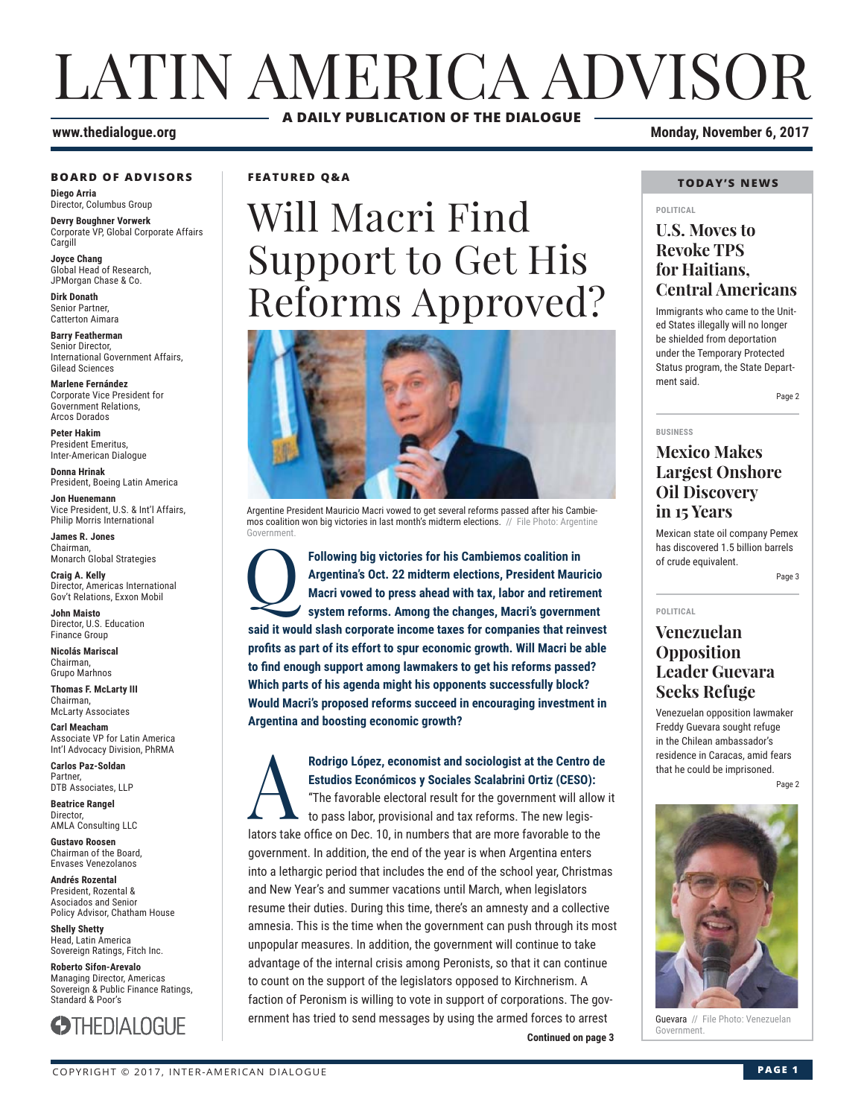## LATIN AMERICA ADVISOR **A DAILY PUBLICATION OF THE DIALOGUE**

#### **www.thedialogue.org Monday, November 6, 2017**

#### **BOARD OF ADVISORS**

**Diego Arria** Director, Columbus Group

**Devry Boughner Vorwerk** Corporate VP, Global Corporate Affairs **Cargill** 

**Joyce Chang** Global Head of Research, JPMorgan Chase & Co.

**Dirk Donath** Senior Partner, Catterton Aimara

**Barry Featherman** Senior Director, International Government Affairs, Gilead Sciences

**Marlene Fernández** Corporate Vice President for Government Relations, Arcos Dorados

**Peter Hakim** President Emeritus, Inter-American Dialogue

**Donna Hrinak** President, Boeing Latin America

**Jon Huenemann** Vice President, U.S. & Int'l Affairs, Philip Morris International

**James R. Jones** Chairman, Monarch Global Strategies

**Craig A. Kelly** Director, Americas International Gov't Relations, Exxon Mobil

**John Maisto** Director, U.S. Education Finance Group

**Nicolás Mariscal** Chairman, Grupo Marhnos

**Thomas F. McLarty III** Chairman, McLarty Associates

**Carl Meacham** Associate VP for Latin America Int'l Advocacy Division, PhRMA

**Carlos Paz-Soldan** Partner, DTB Associates, LLP

**Beatrice Rangel**  Director, AMLA Consulting LLC

**Gustavo Roosen** Chairman of the Board, Envases Venezolanos

**Andrés Rozental**  President, Rozental & Asociados and Senior Policy Advisor, Chatham House

**Shelly Shetty** Head, Latin America Sovereign Ratings, Fitch Inc.

**Roberto Sifon-Arevalo** Managing Director, Americas Sovereign & Public Finance Ratings, Standard & Poor's



**FEATURED Q&A**

# Will Macri Find Support to Get His Reforms Approved?



Argentine President Mauricio Macri vowed to get several reforms passed after his Cambiemos coalition won big victories in last month's midterm elections. // File Photo: Argentine Government.

**Following big victories for his Cambiemos coalition in Argentina's Oct. 22 midterm elections, President Maury Macri vowed to press ahead with tax, labor and retirem system reforms. Among the changes, Macri's governm Argentina's Oct. 22 midterm elections, President Mauricio Macri vowed to press ahead with tax, labor and retirement system reforms. Among the changes, Macri's government said it would slash corporate income taxes for companies that reinvest**  profits as part of its effort to spur economic growth. Will Macri be able to find enough support among lawmakers to get his reforms passed? **Which parts of his agenda might his opponents successfully block? Would Macri's proposed reforms succeed in encouraging investment in Argentina and boosting economic growth?**

**Continued on page 3 Continued on page 3** Rodrigo López, economist and sociologist at the Centro de<br>Estudios Económicos y Sociales Scalabrini Ortiz (CESO):<br>"The favorable electoral result for the government will allow<br>to pass labor, provisional and tax reforms. Th **Estudios Económicos y Sociales Scalabrini Ortiz (CESO):** "The favorable electoral result for the government will allow it to pass labor, provisional and tax reforms. The new legislators take office on Dec. 10, in numbers that are more favorable to the government. In addition, the end of the year is when Argentina enters into a lethargic period that includes the end of the school year, Christmas and New Year's and summer vacations until March, when legislators resume their duties. During this time, there's an amnesty and a collective amnesia. This is the time when the government can push through its most unpopular measures. In addition, the government will continue to take advantage of the internal crisis among Peronists, so that it can continue to count on the support of the legislators opposed to Kirchnerism. A faction of Peronism is willing to vote in support of corporations. The government has tried to send messages by using the armed forces to arrest

#### **TODAY'S NEWS**

#### **POLITICAL**

## **U.S. Moves to Revoke TPS for Haitians, Central Americans**

Immigrants who came to the United States illegally will no longer be shielded from deportation under the Temporary Protected Status program, the State Department said.

Page 2

**BUSINESS**

## **Mexico Makes Largest Onshore Oil Discovery in 15 Years**

Mexican state oil company Pemex has discovered 1.5 billion barrels of crude equivalent.

Page 3

**POLITICAL**

## **Venezuelan Opposition Leader Guevara Seeks Refuge**

Venezuelan opposition lawmaker Freddy Guevara sought refuge in the Chilean ambassador's residence in Caracas, amid fears that he could be imprisoned.

Page 2



Guevara // File Photo: Venezuelan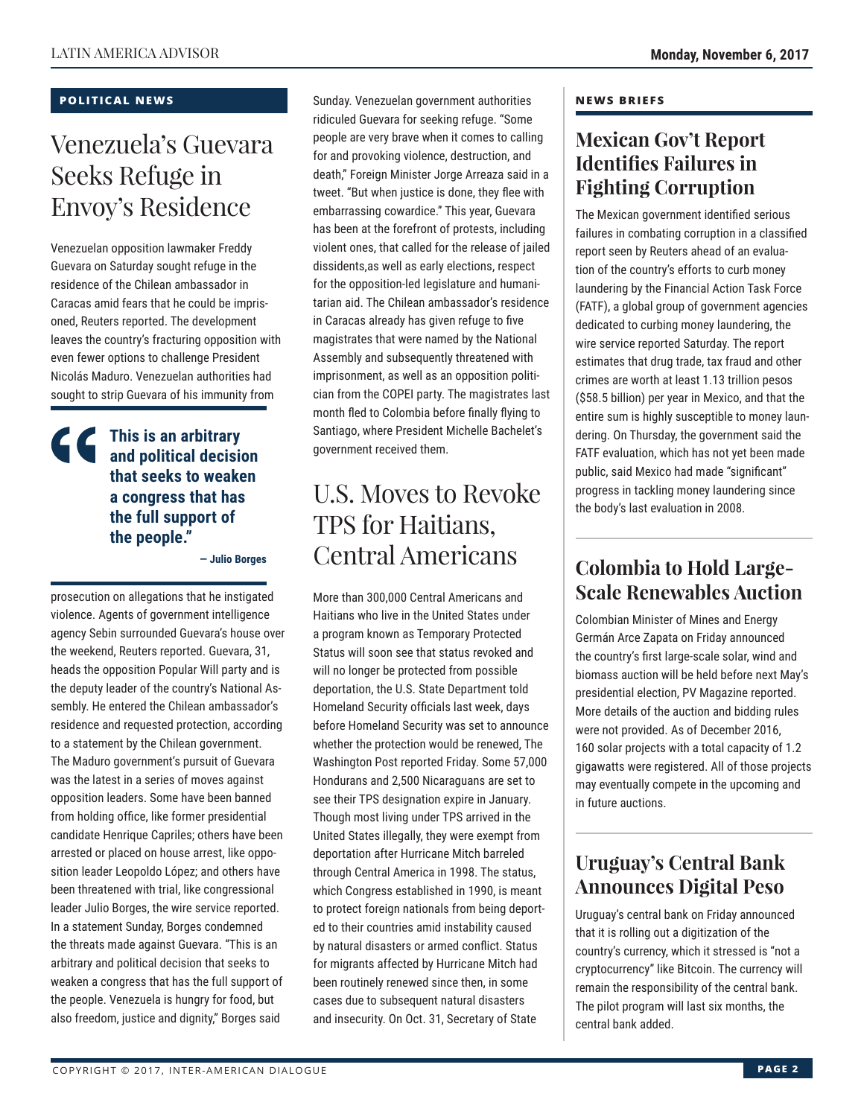## **POLITICAL NEWS**

## Venezuela's Guevara Seeks Refuge in Envoy's Residence

Venezuelan opposition lawmaker Freddy Guevara on Saturday sought refuge in the residence of the Chilean ambassador in Caracas amid fears that he could be imprisoned, Reuters reported. The development leaves the country's fracturing opposition with even fewer options to challenge President Nicolás Maduro. Venezuelan authorities had sought to strip Guevara of his immunity from

## **This is an arbitrary and political decision that seeks to weaken a congress that has the full support of the people."**

**— Julio Borges** 

prosecution on allegations that he instigated violence. Agents of government intelligence agency Sebin surrounded Guevara's house over the weekend, Reuters reported. Guevara, 31, heads the opposition Popular Will party and is the deputy leader of the country's National Assembly. He entered the Chilean ambassador's residence and requested protection, according to a statement by the Chilean government. The Maduro government's pursuit of Guevara was the latest in a series of moves against opposition leaders. Some have been banned from holding office, like former presidential candidate Henrique Capriles; others have been arrested or placed on house arrest, like opposition leader Leopoldo López; and others have been threatened with trial, like congressional leader Julio Borges, the wire service reported. In a statement Sunday, Borges condemned the threats made against Guevara. "This is an arbitrary and political decision that seeks to weaken a congress that has the full support of the people. Venezuela is hungry for food, but also freedom, justice and dignity," Borges said

Sunday. Venezuelan government authorities ridiculed Guevara for seeking refuge. "Some people are very brave when it comes to calling for and provoking violence, destruction, and death," Foreign Minister Jorge Arreaza said in a tweet. "But when justice is done, they flee with embarrassing cowardice." This year, Guevara has been at the forefront of protests, including violent ones, that called for the release of jailed dissidents,as well as early elections, respect for the opposition-led legislature and humanitarian aid. The Chilean ambassador's residence in Caracas already has given refuge to five magistrates that were named by the National Assembly and subsequently threatened with imprisonment, as well as an opposition politician from the COPEI party. The magistrates last month fled to Colombia before finally flying to Santiago, where President Michelle Bachelet's government received them.

## U.S. Moves to Revoke TPS for Haitians, Central Americans

More than 300,000 Central Americans and Haitians who live in the United States under a program known as Temporary Protected Status will soon see that status revoked and will no longer be protected from possible deportation, the U.S. State Department told Homeland Security officials last week, days before Homeland Security was set to announce whether the protection would be renewed, The Washington Post reported Friday. Some 57,000 Hondurans and 2,500 Nicaraguans are set to see their TPS designation expire in January. Though most living under TPS arrived in the United States illegally, they were exempt from deportation after Hurricane Mitch barreled through Central America in 1998. The status, which Congress established in 1990, is meant to protect foreign nationals from being deported to their countries amid instability caused by natural disasters or armed conflict. Status for migrants affected by Hurricane Mitch had been routinely renewed since then, in some cases due to subsequent natural disasters and insecurity. On Oct. 31, Secretary of State

#### **NEWS BRIEFS**

## **Mexican Gov't Report Identifies Failures in Fighting Corruption**

The Mexican government identified serious failures in combating corruption in a classified report seen by Reuters ahead of an evaluation of the country's efforts to curb money laundering by the Financial Action Task Force (FATF), a global group of government agencies dedicated to curbing money laundering, the wire service reported Saturday. The report estimates that drug trade, tax fraud and other crimes are worth at least 1.13 trillion pesos (\$58.5 billion) per year in Mexico, and that the entire sum is highly susceptible to money laundering. On Thursday, the government said the FATF evaluation, which has not yet been made public, said Mexico had made "significant" progress in tackling money laundering since the body's last evaluation in 2008.

## **Colombia to Hold Large-Scale Renewables Auction**

Colombian Minister of Mines and Energy Germán Arce Zapata on Friday announced the country's first large-scale solar, wind and biomass auction will be held before next May's presidential election, PV Magazine reported. More details of the auction and bidding rules were not provided. As of December 2016, 160 solar projects with a total capacity of 1.2 gigawatts were registered. All of those projects may eventually compete in the upcoming and in future auctions.

## **Uruguay's Central Bank Announces Digital Peso**

Uruguay's central bank on Friday announced that it is rolling out a digitization of the country's currency, which it stressed is "not a cryptocurrency" like Bitcoin. The currency will remain the responsibility of the central bank. The pilot program will last six months, the central bank added.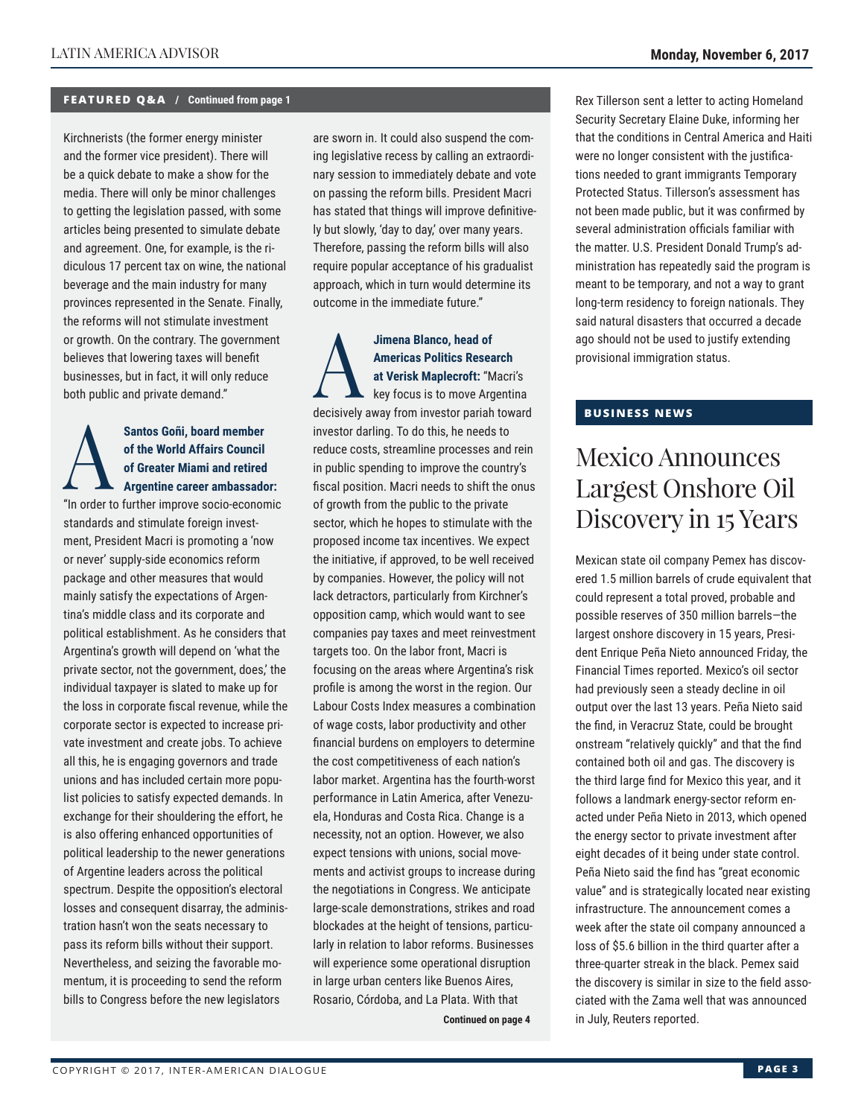## **FEATURED Q&A / Continued from page 1**

Kirchnerists (the former energy minister and the former vice president). There will be a quick debate to make a show for the media. There will only be minor challenges to getting the legislation passed, with some articles being presented to simulate debate and agreement. One, for example, is the ridiculous 17 percent tax on wine, the national beverage and the main industry for many provinces represented in the Senate. Finally, the reforms will not stimulate investment or growth. On the contrary. The government believes that lowering taxes will benefit businesses, but in fact, it will only reduce both public and private demand."

## Santos Goñi, board member<br>
of the World Affairs Council<br>
of Greater Miami and retired<br>
Argentine career ambassade **of the World Affairs Council of Greater Miami and retired Argentine career ambassador:**

"In order to further improve socio-economic standards and stimulate foreign investment, President Macri is promoting a 'now or never' supply-side economics reform package and other measures that would mainly satisfy the expectations of Argentina's middle class and its corporate and political establishment. As he considers that Argentina's growth will depend on 'what the private sector, not the government, does,' the individual taxpayer is slated to make up for the loss in corporate fiscal revenue, while the corporate sector is expected to increase private investment and create jobs. To achieve all this, he is engaging governors and trade unions and has included certain more populist policies to satisfy expected demands. In exchange for their shouldering the effort, he is also offering enhanced opportunities of political leadership to the newer generations of Argentine leaders across the political spectrum. Despite the opposition's electoral losses and consequent disarray, the administration hasn't won the seats necessary to pass its reform bills without their support. Nevertheless, and seizing the favorable momentum, it is proceeding to send the reform bills to Congress before the new legislators

are sworn in. It could also suspend the coming legislative recess by calling an extraordinary session to immediately debate and vote on passing the reform bills. President Macri has stated that things will improve definitively but slowly, 'day to day,' over many years. Therefore, passing the reform bills will also require popular acceptance of his gradualist approach, which in turn would determine its outcome in the immediate future."

Jimena Blanco, head of<br> **Americas Politics Research<br>
at Verisk Maplecroft: "Macri's<br>
key focus is to move Argentina<br>
decisively every from invector porish toward Americas Politics Research at Verisk Maplecroft:** "Macri's decisively away from investor pariah toward investor darling. To do this, he needs to reduce costs, streamline processes and rein in public spending to improve the country's fiscal position. Macri needs to shift the onus of growth from the public to the private sector, which he hopes to stimulate with the proposed income tax incentives. We expect the initiative, if approved, to be well received by companies. However, the policy will not lack detractors, particularly from Kirchner's opposition camp, which would want to see companies pay taxes and meet reinvestment targets too. On the labor front, Macri is focusing on the areas where Argentina's risk profile is among the worst in the region. Our Labour Costs Index measures a combination of wage costs, labor productivity and other financial burdens on employers to determine the cost competitiveness of each nation's labor market. Argentina has the fourth-worst performance in Latin America, after Venezuela, Honduras and Costa Rica. Change is a necessity, not an option. However, we also expect tensions with unions, social movements and activist groups to increase during the negotiations in Congress. We anticipate large-scale demonstrations, strikes and road blockades at the height of tensions, particularly in relation to labor reforms. Businesses will experience some operational disruption in large urban centers like Buenos Aires, Rosario, Córdoba, and La Plata. With that

**Continued on page 4** 

Rex Tillerson sent a letter to acting Homeland Security Secretary Elaine Duke, informing her that the conditions in Central America and Haiti were no longer consistent with the justifications needed to grant immigrants Temporary Protected Status. Tillerson's assessment has not been made public, but it was confirmed by several administration officials familiar with the matter. U.S. President Donald Trump's administration has repeatedly said the program is meant to be temporary, and not a way to grant long-term residency to foreign nationals. They said natural disasters that occurred a decade ago should not be used to justify extending provisional immigration status.

## **BUSINESS NEWS**

## Mexico Announces Largest Onshore Oil Discovery in 15 Years

Mexican state oil company Pemex has discovered 1.5 million barrels of crude equivalent that could represent a total proved, probable and possible reserves of 350 million barrels—the largest onshore discovery in 15 years, President Enrique Peña Nieto announced Friday, the Financial Times reported. Mexico's oil sector had previously seen a steady decline in oil output over the last 13 years. Peña Nieto said the find, in Veracruz State, could be brought onstream "relatively quickly" and that the find contained both oil and gas. The discovery is the third large find for Mexico this year, and it follows a landmark energy-sector reform enacted under Peña Nieto in 2013, which opened the energy sector to private investment after eight decades of it being under state control. Peña Nieto said the find has "great economic value" and is strategically located near existing infrastructure. The announcement comes a week after the state oil company announced a loss of \$5.6 billion in the third quarter after a three-quarter streak in the black. Pemex said the discovery is similar in size to the field associated with the Zama well that was announced in July, Reuters reported.